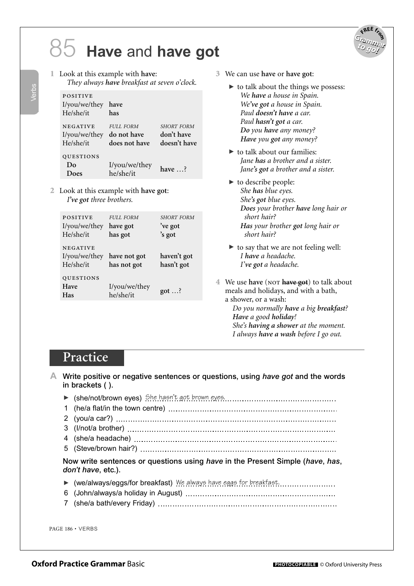## **Have** and **have got** 85



- 1 Look at this example with **have**:
	- *They always have breakfast at seven o'clock.*

| <b>POSITIVE</b><br>I/you/we/they<br>He/she/it | have<br>has                                      |                                                 |
|-----------------------------------------------|--------------------------------------------------|-------------------------------------------------|
| <b>NEGATIVE</b><br>I/you/we/they<br>He/she/it | <b>FULL FORM</b><br>do not have<br>does not have | <b>SHORT FORM</b><br>don't have<br>doesn't have |
| <b>QUESTIONS</b><br>Do<br>Does                | I/you/we/they<br>he/she/it                       | have $\ldots$ ?                                 |

2 Look at this example with **have got**: *I've got three brothers.*

| <b>POSITIVE</b><br>I/you/we/they<br>He/she/it | <b>FULL FORM</b><br>have got<br>has got | <b>SHORT FORM</b><br>'ve got<br>'s got |
|-----------------------------------------------|-----------------------------------------|----------------------------------------|
| <b>NEGATIVE</b><br>I/you/we/they<br>He/she/it | have not got<br>has not got             | haven't got<br>hasn't got              |
| QUESTIONS<br>Have<br>Has                      | I/you/we/they<br>he/she/it              | $got \dots?$                           |

- 3 We can use **have** or **have got**:
	- $\blacktriangleright$  to talk about the things we possess: *We have a house in Spain. We've got a house in Spain. Paul doesn't have a car. Paul hasn't got a car. Do you have any money? Have you got any money?*
	- $\blacktriangleright$  to talk about our families: *Jane has a brother and a sister. Jane's got a brother and a sister.*
	- $\blacktriangleright$  to describe people: *She has blue eyes. She's got blue eyes. Does your brother have long hair or short hair? Has your brother got long hair or short hair?*
	- � to say that we are not feeling well: *I have a headache. I've got a headache.*
- 4 We use **have** (not **have got**) to talk about meals and holidays, and with a bath, a shower, or a wash: *Do you normally have a big breakfast? Have a good holiday!*

*She's having a shower at the moment. I always have a wash before I go out.*

## **Practice**

**A** Write positive or negative sentences or questions, using *have got* and the words in brackets ( ).

▶ (she/not/brown eyes) She hasn't got brown eyes. 1 (he/a flat/in the town centre) 2 (you/a car?) 3 (I/not/a brother) 4 (she/a headache) 5 (Steve/brown hair?) Now write sentences or questions using *have* in the Present Simple (*have*, *has*, *don't have*, etc.). ▶ (we/always/eggs/for breakfast) We always have eggs for breakfast. 6 (John/always/a holiday in August) 7 (she/a bath/every Friday)

PAGE 186 • VERBS

Verbs